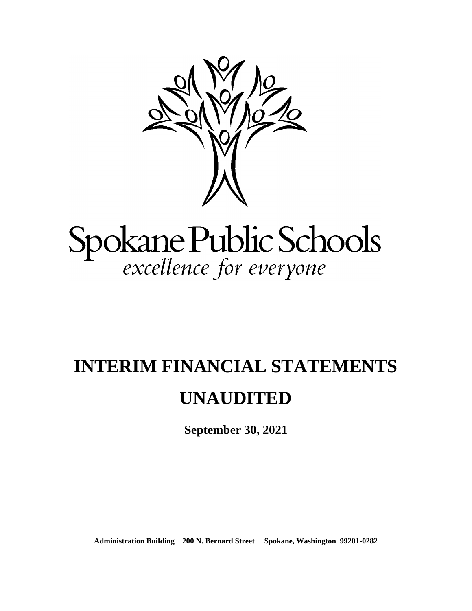

# Spokane Public Schools<br>excellence for everyone

## **INTERIM FINANCIAL STATEMENTS**

### **UNAUDITED**

**September 30, 2021**

**Administration Building 200 N. Bernard Street Spokane, Washington 99201-0282**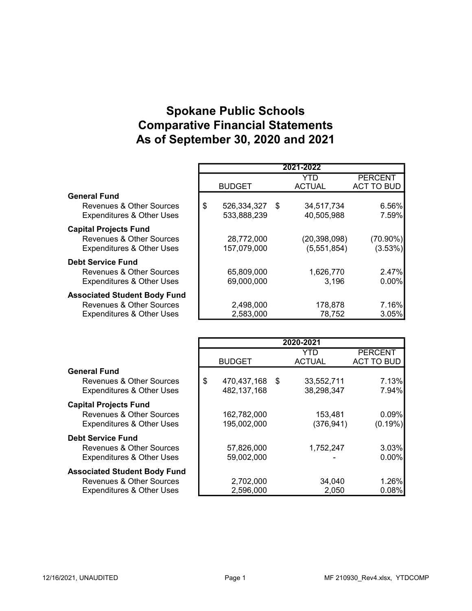#### Spokane Public Schools Comparative Financial Statements As of September 30, 2020 and 2021

|                                      |                      | 2021-2022            |                                     |
|--------------------------------------|----------------------|----------------------|-------------------------------------|
|                                      | <b>BUDGET</b>        | YTD<br><b>ACTUAL</b> | <b>PERCENT</b><br><b>ACT TO BUD</b> |
| <b>General Fund</b>                  |                      |                      |                                     |
| Revenues & Other Sources             | \$<br>526,334,327 \$ | 34,517,734           | 6.56%                               |
| <b>Expenditures &amp; Other Uses</b> | 533,888,239          | 40,505,988           | 7.59%                               |
| <b>Capital Projects Fund</b>         |                      |                      |                                     |
| Revenues & Other Sources             | 28,772,000           | (20, 398, 098)       | $(70.90\%)$                         |
| <b>Expenditures &amp; Other Uses</b> | 157,079,000          | (5,551,854)          | $(3.53\%)$                          |
| <b>Debt Service Fund</b>             |                      |                      |                                     |
| Revenues & Other Sources             | 65,809,000           | 1,626,770            | 2.47%                               |
| <b>Expenditures &amp; Other Uses</b> | 69,000,000           | 3,196                | $0.00\%$                            |
| <b>Associated Student Body Fund</b>  |                      |                      |                                     |
| Revenues & Other Sources             | 2,498,000            | 178,878              | 7.16%                               |
| <b>Expenditures &amp; Other Uses</b> | 2,583,000            | 78,752               | 3.05%                               |

|                                      |                      | 2020-2021     |                   |
|--------------------------------------|----------------------|---------------|-------------------|
|                                      |                      | YTD           | <b>PERCENT</b>    |
|                                      | <b>BUDGET</b>        | <b>ACTUAL</b> | <b>ACT TO BUD</b> |
| <b>General Fund</b>                  |                      |               |                   |
| Revenues & Other Sources             | \$<br>470,437,168 \$ | 33,552,711    | 7.13%             |
| <b>Expenditures &amp; Other Uses</b> | 482, 137, 168        | 38,298,347    | 7.94%             |
| <b>Capital Projects Fund</b>         |                      |               |                   |
| Revenues & Other Sources             | 162,782,000          | 153,481       | 0.09%             |
| <b>Expenditures &amp; Other Uses</b> | 195,002,000          | (376, 941)    | $(0.19\%)$        |
| <b>Debt Service Fund</b>             |                      |               |                   |
| Revenues & Other Sources             | 57,826,000           | 1,752,247     | 3.03%             |
| <b>Expenditures &amp; Other Uses</b> | 59,002,000           |               | $0.00\%$          |
| <b>Associated Student Body Fund</b>  |                      |               |                   |
| Revenues & Other Sources             | 2,702,000            | 34,040        | 1.26%             |
| <b>Expenditures &amp; Other Uses</b> | 2,596,000            | 2,050         | 0.08%             |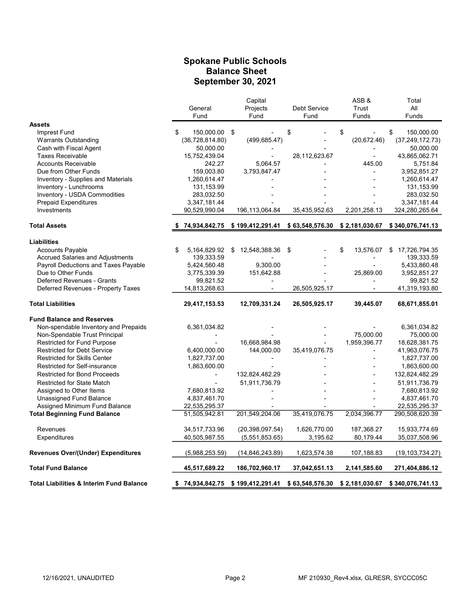#### Spokane Public Schools Balance Sheet September 30, 2021

|                                           |                    | Capital           |                 | ASB&            | Total               |
|-------------------------------------------|--------------------|-------------------|-----------------|-----------------|---------------------|
|                                           | General            | Projects          | Debt Service    | Trust           | All                 |
|                                           | Fund               | Fund              | Fund            | Funds           | Funds               |
| <b>Assets</b>                             |                    |                   |                 |                 |                     |
| Imprest Fund                              | 150,000.00<br>\$.  | \$                | \$              | \$              | \$<br>150,000.00    |
| <b>Warrants Outstanding</b>               | (36, 728, 814.80)  | (499.685.47)      |                 | (20, 672.46)    | (37, 249, 172.73)   |
| Cash with Fiscal Agent                    | 50,000.00          |                   |                 |                 | 50,000.00           |
| <b>Taxes Receivable</b>                   | 15,752,439.04      |                   | 28,112,623.67   | $\overline{a}$  | 43,865,062.71       |
| <b>Accounts Receivable</b>                | 242.27             | 5.064.57          |                 | 445.00          | 5,751.84            |
| Due from Other Funds                      | 159,003.80         | 3,793,847.47      |                 |                 | 3,952,851.27        |
| Inventory - Supplies and Materials        | 1,260,614.47       |                   |                 |                 | 1,260,614.47        |
| Inventory - Lunchrooms                    | 131,153.99         |                   |                 |                 | 131,153.99          |
| Inventory - USDA Commodities              | 283,032.50         |                   |                 |                 | 283,032.50          |
| <b>Prepaid Expenditures</b>               | 3,347,181.44       |                   |                 |                 | 3,347,181.44        |
| Investments                               | 90,529,990.04      | 196,113,064.84    | 35,435,952.63   | 2,201,258.13    | 324,280,265.64      |
|                                           |                    |                   |                 |                 |                     |
| <b>Total Assets</b>                       | 74,934,842.75      | \$199,412,291.41  | \$63,548,576.30 | \$2,181,030.67  | \$340,076,741.13    |
| <b>Liabilities</b>                        |                    |                   |                 |                 |                     |
| <b>Accounts Payable</b>                   | 5,164,829.92<br>\$ | \$12,548,388.36   | \$              | \$<br>13,576.07 | 17,726,794.35<br>\$ |
| <b>Accrued Salaries and Adjustments</b>   | 139,333.59         |                   |                 |                 | 139,333.59          |
| Payroll Deductions and Taxes Payable      | 5,424,560.48       | 9,300.00          |                 |                 | 5,433,860.48        |
| Due to Other Funds                        | 3,775,339.39       | 151,642.88        |                 | 25,869.00       | 3,952,851.27        |
| Deferred Revenues - Grants                | 99,821.52          |                   |                 |                 | 99,821.52           |
| Deferred Revenues - Property Taxes        | 14,813,268.63      |                   | 26,505,925.17   |                 | 41,319,193.80       |
| <b>Total Liabilities</b>                  | 29,417,153.53      | 12,709,331.24     | 26,505,925.17   | 39,445.07       | 68,671,855.01       |
| <b>Fund Balance and Reserves</b>          |                    |                   |                 |                 |                     |
| Non-spendable Inventory and Prepaids      | 6,361,034.82       |                   |                 |                 | 6,361,034.82        |
| Non-Spendable Trust Principal             |                    |                   |                 | 75,000.00       | 75,000.00           |
| <b>Restricted for Fund Purpose</b>        |                    | 16,668,984.98     |                 | 1,959,396.77    | 18,628,381.75       |
| <b>Restricted for Debt Service</b>        | 6,400,000.00       | 144,000.00        | 35,419,076.75   |                 | 41,963,076.75       |
| <b>Restricted for Skills Center</b>       | 1,827,737.00       |                   |                 |                 | 1,827,737.00        |
| Restricted for Self-insurance             | 1,863,600.00       |                   |                 |                 | 1,863,600.00        |
| <b>Restricted for Bond Proceeds</b>       |                    | 132,824,482.29    |                 |                 | 132,824,482.29      |
| <b>Restricted for State Match</b>         |                    | 51,911,736.79     |                 |                 | 51,911,736.79       |
| Assigned to Other Items                   | 7,680,813.92       |                   |                 |                 | 7,680,813.92        |
| <b>Unassigned Fund Balance</b>            | 4,837,461.70       |                   |                 |                 | 4,837,461.70        |
| Assigned Minimum Fund Balance             | 22,535,295.37      |                   |                 |                 | 22,535,295.37       |
| <b>Total Beginning Fund Balance</b>       | 51,505,942.81      | 201,549,204.06    | 35,419,076.75   | 2,034,396.77    | 290,508,620.39      |
| Revenues                                  | 34,517,733.96      | (20, 398, 097.54) | 1,626,770.00    | 187,368.27      | 15,933,774.69       |
| Expenditures                              | 40,505,987.55      | (5,551,853.65)    | 3,195.62        | 80,179.44       | 35,037,508.96       |
| <b>Revenues Over/(Under) Expenditures</b> | (5,988,253.59)     | (14, 846, 243.89) | 1,623,574.38    | 107,188.83      | (19, 103, 734.27)   |
| <b>Total Fund Balance</b>                 | 45,517,689.22      | 186,702,960.17    | 37,042,651.13   | 2,141,585.60    | 271,404,886.12      |
|                                           |                    |                   |                 |                 |                     |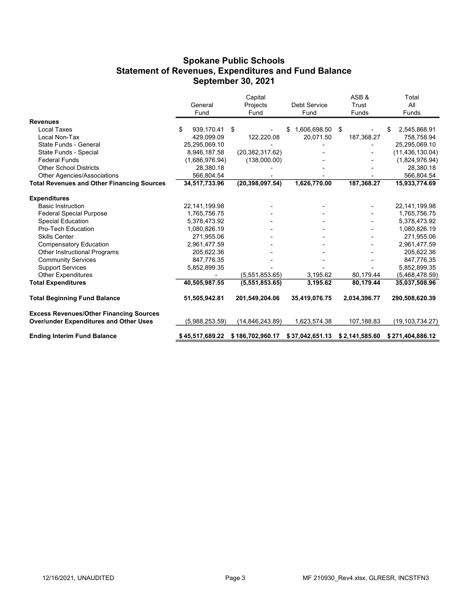#### Spokane Public Schools Statement of Revenues, Expenditures and Fund Balance September 30, 2021

| <b>Other Expenditures</b>                         |                  | (5.551.853.65)    | 3,195.62              | 80,179.44  | (5,468,478.59)     |
|---------------------------------------------------|------------------|-------------------|-----------------------|------------|--------------------|
| <b>Support Services</b>                           | 5,852,899.35     |                   |                       |            | 5,852,899.35       |
| <b>Community Services</b>                         | 847,776.35       |                   |                       |            | 847,776.35         |
| Other Instructional Programs                      | 205,622.36       |                   |                       |            | 205,622.36         |
| <b>Compensatory Education</b>                     | 2,961,477.59     |                   |                       |            | 2,961,477.59       |
| <b>Skills Center</b>                              | 271,955.06       |                   |                       |            | 271,955.06         |
| Pro-Tech Education                                | 1,080,826.19     |                   |                       |            | 1,080,826.19       |
| <b>Special Education</b>                          | 5,378,473.92     |                   |                       |            | 5,378,473.92       |
| <b>Federal Special Purpose</b>                    | 1,765,756.75     |                   |                       |            | 1,765,756.75       |
| <b>Basic Instruction</b>                          | 22,141,199.98    |                   |                       |            | 22, 141, 199. 98   |
| <b>Expenditures</b>                               |                  |                   |                       |            |                    |
| <b>Total Revenues and Other Financing Sources</b> | 34,517,733.96    | (20, 398, 097.54) | 1,626,770.00          | 187,368.27 | 15,933,774.69      |
| Other Agencies/Associations                       | 566,804.54       |                   |                       |            | 566,804.54         |
| <b>Other School Districts</b>                     | 28,380.18        |                   |                       |            | 28,380.18          |
| <b>Federal Funds</b>                              | (1,686,976.94)   | (138,000.00)      |                       |            | (1,824,976.94)     |
| State Funds - Special                             | 8,946,187.58     | (20, 382, 317.62) |                       |            | (11, 436, 130.04)  |
| State Funds - General                             | 25,295,069.10    |                   |                       |            | 25,295,069.10      |
| Local Non-Tax                                     | 429.099.09       | 122,220.08        | 20,071.50             | 187,368.27 | 758,758.94         |
| <b>Revenues</b><br>Local Taxes                    | \$<br>939,170.41 | \$                | 1,606,698.50 \$<br>\$ |            | 2,545,868.91<br>\$ |
|                                                   | Fund             | Fund              | Fund                  | Funds      | Funds              |
|                                                   | General          | Projects          | <b>Debt Service</b>   | Trust      | All                |
|                                                   |                  | Capital           |                       | ASB&       | Total              |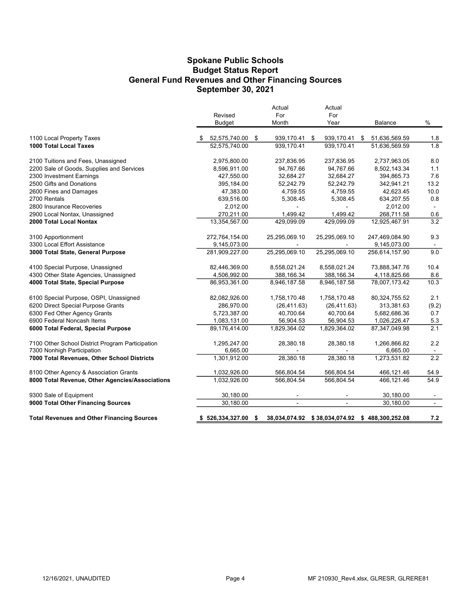#### Spokane Public Schools General Fund Revenues and Other Financing Sources September 30, 2021 Budget Status Report

|                                                   | Revised<br>Budget    | Actual<br>For<br>Month   | Actual<br>For<br>Year                          | Balance             | $\%$           |
|---------------------------------------------------|----------------------|--------------------------|------------------------------------------------|---------------------|----------------|
| 1100 Local Property Taxes                         | 52,575,740.00        | \$<br>939,170.41         | 939,170.41<br>- \$                             | \$<br>51,636,569.59 | 1.8            |
| 1000 Total Local Taxes                            | 52,575,740.00        | 939,170.41               | 939,170.41                                     | 51,636,569.59       | 1.8            |
| 2100 Tuitions and Fees, Unassigned                | 2,975,800.00         | 237,836.95               | 237,836.95                                     | 2,737,963.05        | 8.0            |
| 2200 Sale of Goods, Supplies and Services         | 8,596,911.00         | 94,767.66                | 94,767.66                                      | 8,502,143.34        | 1.1            |
| 2300 Investment Earnings                          | 427,550.00           | 32,684.27                | 32,684.27                                      | 394,865.73          | 7.6            |
| 2500 Gifts and Donations                          | 395,184.00           | 52,242.79                | 52,242.79                                      | 342,941.21          | 13.2           |
| 2600 Fines and Damages                            | 47,383.00            | 4,759.55                 | 4,759.55                                       | 42,623.45           | 10.0           |
| 2700 Rentals                                      | 639,516.00           | 5,308.45                 | 5,308.45                                       | 634,207.55          | 0.8            |
| 2800 Insurance Recoveries                         | 2,012.00             | $\blacksquare$           |                                                | 2,012.00            | $\sim$         |
| 2900 Local Nontax, Unassigned                     | 270,211.00           | 1,499.42                 | 1,499.42                                       | 268,711.58          | 0.6            |
| 2000 Total Local Nontax                           | 13,354,567.00        | 429,099.09               | 429,099.09                                     | 12,925,467.91       | 3.2            |
| 3100 Apportionment                                | 272,764,154.00       | 25,295,069.10            | 25,295,069.10                                  | 247,469,084.90      | 9.3            |
| 3300 Local Effort Assistance                      | 9,145,073.00         |                          |                                                | 9,145,073.00        |                |
| 3000 Total State, General Purpose                 | 281,909,227.00       | 25,295,069.10            | 25,295,069.10                                  | 256,614,157.90      | 9.0            |
| 4100 Special Purpose, Unassigned                  | 82,446,369.00        | 8,558,021.24             | 8,558,021.24                                   | 73,888,347.76       | 10.4           |
| 4300 Other State Agencies, Unassigned             | 4,506,992.00         | 388,166.34               | 388,166.34                                     | 4,118,825.66        | 8.6            |
| 4000 Total State, Special Purpose                 | 86,953,361.00        | 8,946,187.58             | 8,946,187.58                                   | 78,007,173.42       | 10.3           |
| 6100 Special Purpose, OSPI, Unassigned            | 82,082,926.00        | 1,758,170.48             | 1,758,170.48                                   | 80,324,755.52       | 2.1            |
| 6200 Direct Special Purpose Grants                | 286,970.00           | (26, 411.63)             | (26, 411.63)                                   | 313,381.63          | (9.2)          |
| 6300 Fed Other Agency Grants                      | 5,723,387.00         | 40,700.64                | 40,700.64                                      | 5,682,686.36        | 0.7            |
| 6900 Federal Noncash Items                        | 1,083,131.00         | 56,904.53                | 56,904.53                                      | 1,026,226.47        | 5.3            |
| 6000 Total Federal, Special Purpose               | 89,176,414.00        | 1,829,364.02             | 1,829,364.02                                   | 87,347,049.98       | 2.1            |
| 7100 Other School District Program Participation  | 1,295,247.00         | 28,380.18                | 28,380.18                                      | 1,266,866.82        | 2.2            |
| 7300 Nonhigh Participation                        | 6,665.00             |                          |                                                | 6,665.00            |                |
| 7000 Total Revenues, Other School Districts       | 1,301,912.00         | 28,380.18                | 28,380.18                                      | 1,273,531.82        | 2.2            |
| 8100 Other Agency & Association Grants            | 1,032,926.00         | 566,804.54               | 566,804.54                                     | 466,121.46          | 54.9           |
| 8000 Total Revenue, Other Agencies/Associations   | 1,032,926.00         | 566,804.54               | 566,804.54                                     | 466,121.46          | 54.9           |
| 9300 Sale of Equipment                            | 30,180.00            | $\overline{\phantom{a}}$ |                                                | 30,180.00           | $\sim$         |
| 9000 Total Other Financing Sources                | 30,180.00            | $\blacksquare$           | $\blacksquare$                                 | 30,180.00           | $\blacksquare$ |
| <b>Total Revenues and Other Financing Sources</b> | $$526,334,327.00$ \$ |                          | 38,034,074.92 \$38,034,074.92 \$488,300,252.08 |                     | 7.2            |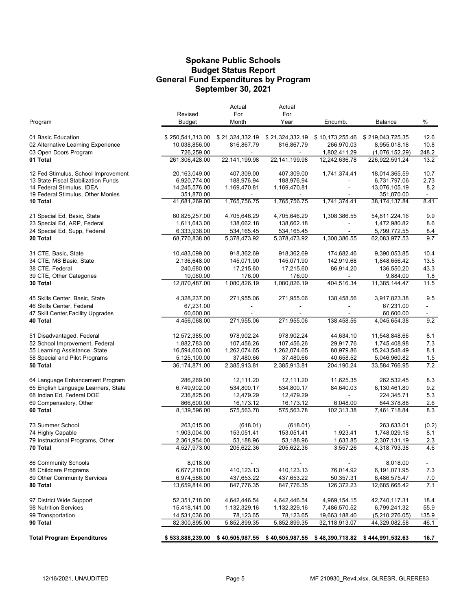#### Budget Status Report General Fund Expenditures by Program Spokane Public Schools September 30, 2021

|                                               |                             | Actual          | Actual          |                 |                                                                                   |                |
|-----------------------------------------------|-----------------------------|-----------------|-----------------|-----------------|-----------------------------------------------------------------------------------|----------------|
|                                               | Revised                     | For             | For             |                 |                                                                                   |                |
| Program                                       | Budget                      | Month           | Year            | Encumb.         | Balance                                                                           | $\%$           |
| 01 Basic Education                            | \$250,541,313.00            | \$21,324,332.19 | \$21,324,332.19 | \$10,173,255.46 | \$219,043,725.35                                                                  | 12.6           |
| 02 Alternative Learning Experience            | 10,038,856.00               | 816,867.79      | 816,867.79      | 266,970.03      | 8,955,018.18                                                                      | 10.8           |
| 03 Open Doors Program                         | 726,259.00                  | $\sim$          | $\blacksquare$  | 1,802,411.29    | (1,076,152.29)                                                                    | 248.2          |
| 01 Total                                      | 261,306,428.00              | 22, 141, 199.98 | 22, 141, 199.98 | 12,242,636.78   | 226,922,591.24                                                                    | 13.2           |
| 12 Fed Stimulus, School Improvement           | 20,163,049.00               | 407,309.00      | 407,309.00      | 1,741,374.41    | 18,014,365.59                                                                     | 10.7           |
| 13 State Fiscal Stabilization Funds           | 6,920,774.00                | 188,976.94      | 188,976.94      |                 | 6,731,797.06                                                                      | 2.73           |
| 14 Federal Stimulus, IDEA                     | 14,245,576.00               | 1,169,470.81    | 1,169,470.81    |                 | 13,076,105.19                                                                     | 8.2            |
| 19 Federal Stimulus, Other Monies<br>10 Total | 351,870.00<br>41,681,269.00 | 1,765,756.75    | 1,765,756.75    | 1,741,374.41    | 351,870.00<br>38, 174, 137.84                                                     | $\sim$<br>8.41 |
|                                               |                             |                 |                 |                 |                                                                                   |                |
| 21 Special Ed, Basic, State                   | 60,825,257.00               | 4,705,646.29    | 4,705,646.29    | 1,308,386.55    | 54,811,224.16                                                                     | 9.9            |
| 23 Special Ed, ARP, Federal                   | 1,611,643.00                | 138,662.18      | 138,662.18      |                 | 1,472,980.82                                                                      | 8.6            |
| 24 Special Ed, Supp, Federal                  | 6,333,938.00                | 534,165.45      | 534, 165.45     | $\blacksquare$  | 5,799,772.55                                                                      | 8.4            |
| 20 Total                                      | 68,770,838.00               | 5,378,473.92    | 5,378,473.92    | 1,308,386.55    | 62,083,977.53                                                                     | 9.7            |
| 31 CTE, Basic, State                          | 10,483,099.00               | 918,362.69      | 918,362.69      | 174,682.46      | 9,390,053.85                                                                      | 10.4           |
| 34 CTE, MS Basic, State                       | 2,136,648.00                | 145,071.90      | 145,071.90      | 142,919.68      | 1,848,656.42                                                                      | 13.5           |
| 38 CTE, Federal                               | 240,680.00                  | 17,215.60       | 17,215.60       | 86,914.20       | 136,550.20                                                                        | 43.3           |
| 39 CTE, Other Categories                      | 10,060.00                   | 176.00          | 176.00          | $\sim$          | 9,884.00                                                                          | 1.8            |
| 30 Total                                      | 12,870,487.00               | 1,080,826.19    | 1,080,826.19    | 404,516.34      | 11,385,144.47                                                                     | 11.5           |
| 45 Skills Center, Basic, State                | 4,328,237.00                | 271,955.06      | 271,955.06      | 138,458.56      | 3,917,823.38                                                                      | 9.5            |
| 46 Skills Center, Federal                     | 67,231.00                   |                 |                 |                 | 67,231.00                                                                         | $\blacksquare$ |
| 47 Skill Center, Facility Upgrades            | 60,600.00                   |                 |                 |                 | 60,600.00                                                                         |                |
| 40 Total                                      | 4,456,068.00                | 271,955.06      | 271,955.06      | 138,458.56      | 4,045,654.38                                                                      | 9.2            |
| 51 Disadvantaged, Federal                     | 12,572,385.00               | 978,902.24      | 978,902.24      | 44,634.10       | 11,548,848.66                                                                     | 8.1            |
| 52 School Improvement, Federal                | 1,882,783.00                | 107,456.26      | 107,456.26      | 29,917.76       | 1,745,408.98                                                                      | 7.3            |
| 55 Learning Assistance, State                 | 16,594,603.00               | 1,262,074.65    | 1,262,074.65    | 88,979.86       | 15,243,548.49                                                                     | 8.1            |
| 58 Special and Pilot Programs                 | 5,125,100.00                | 37,480.66       | 37,480.66       | 40,658.52       | 5,046,960.82                                                                      | 1.5            |
| 50 Total                                      | 36,174,871.00               | 2,385,913.81    | 2,385,913.81    | 204,190.24      | 33,584,766.95                                                                     | $7.2\,$        |
| 64 Language Enhancement Program               | 286,269.00                  | 12,111.20       | 12,111.20       | 11,625.35       | 262,532.45                                                                        | 8.3            |
| 65 English Language Learners, State           | 6,749,902.00                | 534,800.17      | 534,800.17      | 84,640.03       | 6,130,461.80                                                                      | 9.2            |
| 68 Indian Ed, Federal DOE                     | 236,825.00                  | 12,479.29       | 12,479.29       |                 | 224,345.71                                                                        | 5.3            |
| 69 Compensatory, Other                        | 866,600.00                  | 16,173.12       | 16,173.12       | 6,048.00        | 844,378.88                                                                        | 2.6            |
| 60 Total                                      | 8,139,596.00                | 575,563.78      | 575,563.78      | 102,313.38      | 7,461,718.84                                                                      | 8.3            |
| 73 Summer School                              | 263,015.00                  | (618.01)        | (618.01)        |                 | 263,633.01                                                                        | (0.2)          |
| 74 Highly Capable                             | 1,903,004.00                | 153,051.41      | 153,051.41      | 1,923.41        | 1,748,029.18                                                                      | 8.1            |
| 79 Instructional Programs, Other              | 2,361,954.00                | 53,188.96       | 53,188.96       | 1,633.85        | 2,307,131.19                                                                      | 2.3            |
| 70 Total                                      | 4,527,973.00                | 205,622.36      | 205,622.36      | 3,557.26        | 4,318,793.38                                                                      | 4.6            |
| 86 Community Schools                          | 8,018.00                    |                 |                 |                 | 8,018.00                                                                          | $\blacksquare$ |
| 88 Childcare Programs                         | 6,677,210.00                | 410,123.13      | 410,123.13      | 76,014.92       | 6,191,071.95                                                                      | 7.3            |
| 89 Other Community Services                   | 6,974,586.00                | 437,653.22      | 437,653.22      | 50,357.31       | 6,486,575.47                                                                      | 7.0            |
| 80 Total                                      | 13,659,814.00               | 847,776.35      | 847,776.35      | 126,372.23      | 12,685,665.42                                                                     | 7.1            |
| 97 District Wide Support                      | 52,351,718.00               | 4,642,446.54    | 4,642,446.54    | 4,969,154.15    | 42,740,117.31                                                                     | 18.4           |
| 98 Nutrition Services                         | 15,418,141.00               | 1,132,329.16    | 1,132,329.16    | 7,486,570.52    | 6,799,241.32                                                                      | 55.9           |
| 99 Transportation                             | 14,531,036.00               | 78,123.65       | 78,123.65       | 19,663,188.40   | (5,210,276.05)                                                                    | 135.9          |
| 90 Total                                      | 82,300,895.00               | 5,852,899.35    | 5,852,899.35    | 32,118,913.07   | 44,329,082.58                                                                     | 46.1           |
| <b>Total Program Expenditures</b>             |                             |                 |                 |                 | \$533,888,239.00 \$40,505,987.55 \$40,505,987.55 \$48,390,718.82 \$444,991,532.63 | 16.7           |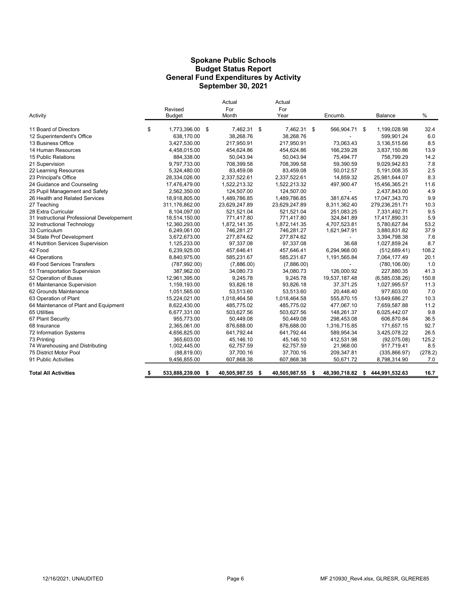#### Spokane Public Schools General Fund Expenditures by Activity September 30, 2021 Budget Status Report

| Activity                                   | Revised<br><b>Budget</b> | Actual<br>For<br>Month | Actual<br>For<br>Year |     | Encumb.       |      | Balance        | %       |
|--------------------------------------------|--------------------------|------------------------|-----------------------|-----|---------------|------|----------------|---------|
| 11 Board of Directors                      | \$<br>1,773,396.00 \$    | 7.462.31 \$            | 7,462.31 \$           |     | 566,904.71    | - \$ | 1,199,028.98   | 32.4    |
| 12 Superintendent's Office                 | 638,170.00               | 38,268.76              | 38,268.76             |     |               |      | 599,901.24     | 6.0     |
| 13 Business Office                         | 3,427,530.00             | 217,950.91             | 217,950.91            |     | 73.063.43     |      | 3,136,515.66   | 8.5     |
| 14 Human Resources                         | 4,458,015.00             | 454,624.86             | 454,624.86            |     | 166,239.28    |      | 3,837,150.86   | 13.9    |
| 15 Public Relations                        | 884,338.00               | 50,043.94              | 50,043.94             |     | 75,494.77     |      | 758,799.29     | 14.2    |
| 21 Supervision                             | 9,797,733.00             | 708,399.58             | 708,399.58            |     | 59,390.59     |      | 9,029,942.83   | 7.8     |
| 22 Learning Resources                      | 5,324,480.00             | 83,459.08              | 83,459.08             |     | 50,012.57     |      | 5,191,008.35   | 2.5     |
| 23 Principal's Office                      | 28,334,026.00            | 2,337,522.61           | 2,337,522.61          |     | 14,859.32     |      | 25,981,644.07  | 8.3     |
| 24 Guidance and Counseling                 | 17,476,479.00            | 1,522,213.32           | 1,522,213.32          |     | 497,900.47    |      | 15,456,365.21  | 11.6    |
| 25 Pupil Management and Safety             | 2,562,350.00             | 124,507.00             | 124,507.00            |     |               |      | 2,437,843.00   | 4.9     |
| 26 Health and Related Services             | 18,918,805.00            | 1,489,786.85           | 1,489,786.85          |     | 381,674.45    |      | 17,047,343.70  | 9.9     |
| 27 Teaching                                | 311,176,862.00           | 23,629,247.89          | 23,629,247.89         |     | 8,311,362.40  |      | 279,236,251.71 | 10.3    |
| 28 Extra Curricular                        | 8,104,097.00             | 521,521.04             | 521,521.04            |     | 251,083.25    |      | 7,331,492.71   | 9.5     |
| 31 Instructional Professional Developement | 18,514,150.00            | 771,417.80             | 771,417.80            |     | 324,841.89    |      | 17,417,890.31  | 5.9     |
| 32 Instructional Technology                | 12,360,293.00            | 1,872,141.35           | 1,872,141.35          |     | 4,707,523.81  |      | 5,780,627.84   | 53.2    |
| 33 Curriculum                              | 6,249,061.00             | 746,281.27             | 746,281.27            |     | 1,621,947.91  |      | 3,880,831.82   | 37.9    |
| 34 State Prof Development                  | 3,672,673.00             | 277,874.62             | 277,874.62            |     |               |      | 3,394,798.38   | 7.6     |
| 41 Nutrition Services Supervision          | 1,125,233.00             | 97.337.08              | 97.337.08             |     | 36.68         |      | 1,027,859.24   | 8.7     |
| 42 Food                                    | 6,239,925.00             | 457,646.41             | 457,646.41            |     | 6,294,968.00  |      | (512, 689.41)  | 108.2   |
| 44 Operations                              | 8,840,975.00             | 585,231.67             | 585,231.67            |     | 1,191,565.84  |      | 7,064,177.49   | 20.1    |
| 49 Food Services Transfers                 | (787, 992.00)            | (7,886.00)             | (7,886.00)            |     |               |      | (780, 106.00)  | 1.0     |
| 51 Transportation Supervision              | 387,962.00               | 34,080.73              | 34,080.73             |     | 126,000.92    |      | 227,880.35     | 41.3    |
| 52 Operation of Buses                      | 12,961,395.00            | 9,245.78               | 9,245.78              |     | 19,537,187.48 |      | (6,585,038.26) | 150.8   |
| 61 Maintenance Supervision                 | 1,159,193.00             | 93,826.18              | 93,826.18             |     | 37,371.25     |      | 1,027,995.57   | 11.3    |
| 62 Grounds Maintenance                     | 1,051,565.00             | 53,513.60              | 53,513.60             |     | 20,448.40     |      | 977,603.00     | 7.0     |
| 63 Operation of Plant                      | 15,224,021.00            | 1,018,464.58           | 1,018,464.58          |     | 555,870.15    |      | 13,649,686.27  | 10.3    |
| 64 Maintenance of Plant and Equipment      | 8,622,430.00             | 485.775.02             | 485,775.02            |     | 477.067.10    |      | 7,659,587.88   | 11.2    |
| 65 Utilities                               | 6,677,331.00             | 503,627.56             | 503,627.56            |     | 148,261.37    |      | 6,025,442.07   | 9.8     |
| 67 Plant Security                          | 955,773.00               | 50,449.08              | 50,449.08             |     | 298,453.08    |      | 606,870.84     | 36.5    |
| 68 Insurance                               | 2,365,061.00             | 876,688.00             | 876,688.00            |     | 1,316,715.85  |      | 171,657.15     | 92.7    |
| 72 Information Systems                     | 4,656,825.00             | 641,792.44             | 641,792.44            |     | 589,954.34    |      | 3,425,078.22   | 26.5    |
| 73 Printing                                | 365.603.00               | 45.146.10              | 45,146.10             |     | 412,531.98    |      | (92,075.08)    | 125.2   |
| 74 Warehousing and Distributing            | 1,002,445.00             | 62,757.59              | 62,757.59             |     | 21,968.00     |      | 917,719.41     | 8.5     |
| 75 District Motor Pool                     | (88, 819.00)             | 37,700.16              | 37,700.16             |     | 209,347.81    |      | (335, 866.97)  | (278.2) |
| 91 Public Activities                       | 9,456,855.00             | 607,868.38             | 607,868.38            |     | 50,671.72     |      | 8,798,314.90   | 7.0     |
| <b>Total All Activities</b>                | \$<br>533,888,239.00     | \$<br>40,505,987.55    | \$<br>40,505,987.55   | - 5 | 48,390,718.82 | - \$ | 444,991,532.63 | 16.7    |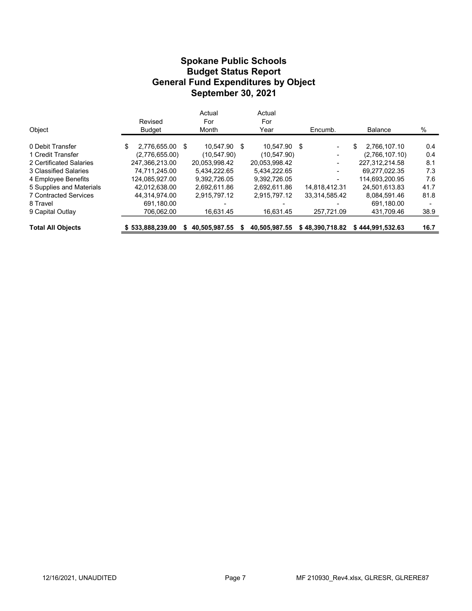#### Budget Status Report General Fund Expenditures by Object Spokane Public Schools September 30, 2021

| <b>Total All Objects</b>     | \$533,888,239,00      | 40.505.987.55 |   | 40.505.987.55 | \$48.390.718.82          | \$444.991.532.63   | 16.7 |  |
|------------------------------|-----------------------|---------------|---|---------------|--------------------------|--------------------|------|--|
| 9 Capital Outlay             | 706,062.00            | 16.631.45     |   | 16,631.45     | 257.721.09               | 431.709.46         | 38.9 |  |
| 8 Travel                     | 691.180.00            |               |   |               |                          | 691.180.00         |      |  |
| <b>7 Contracted Services</b> | 44.314.974.00         | 2.915.797.12  |   | 2.915.797.12  | 33.314.585.42            | 8.084.591.46       | 81.8 |  |
| 5 Supplies and Materials     | 42.012.638.00         | 2.692.611.86  |   | 2.692.611.86  | 14.818.412.31            | 24.501.613.83      | 41.7 |  |
| 4 Employee Benefits          | 124.085.927.00        | 9.392.726.05  |   | 9.392.726.05  |                          | 114.693.200.95     | 7.6  |  |
| 3 Classified Salaries        | 74.711.245.00         | 5.434.222.65  |   | 5.434.222.65  | -                        | 69.277.022.35      | 7.3  |  |
| 2 Certificated Salaries      | 247.366.213.00        | 20.053.998.42 |   | 20.053.998.42 | -                        | 227.312.214.58     | 8.1  |  |
| 1 Credit Transfer            | (2,776,655.00)        | (10, 547.90)  |   | (10, 547.90)  | $\overline{\phantom{a}}$ | (2,766,107.10)     | 0.4  |  |
| 0 Debit Transfer             | \$<br>2,776,655.00 \$ | 10.547.90     | S | 10.547.90 \$  | $\blacksquare$           | \$<br>2.766.107.10 | 0.4  |  |
| Object                       | <b>Budget</b>         | Month         |   | Year          | Encumb.                  | <b>Balance</b>     | %    |  |
|                              | Revised               | For           |   | For           |                          |                    |      |  |
|                              |                       | Actual        |   | Actual        |                          |                    |      |  |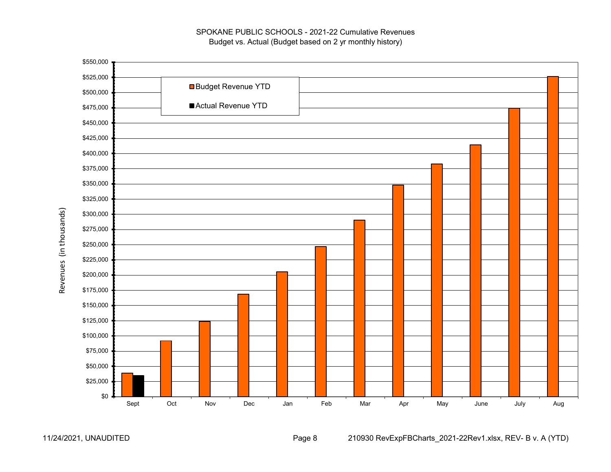

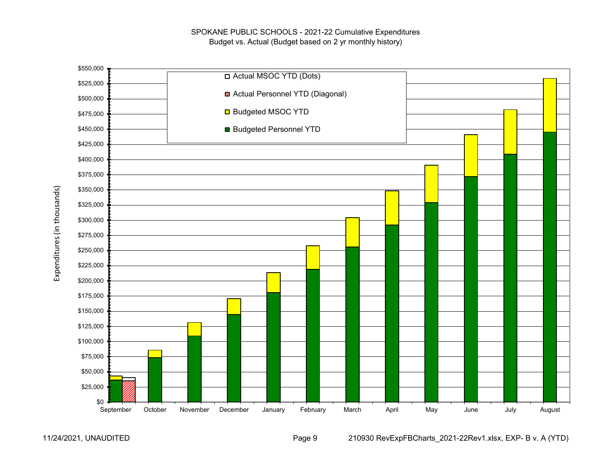

11/24/2021, UNAUDITED Page 9 210930 RevExpFBCharts\_2021-22Rev1.xlsx, EXP- B v. A (YTD)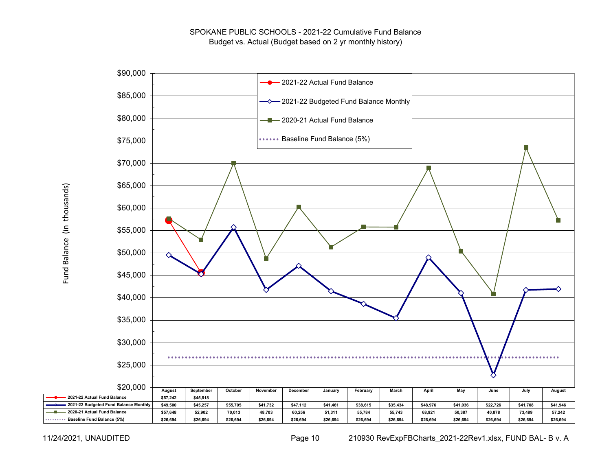

Fund Balance (in thousands) Fund Balance (in thousands)

11/24/2021, UNAUDITED Page 10 210930 RevExpFBCharts\_2021-22Rev1.xlsx, FUND BAL- B v. A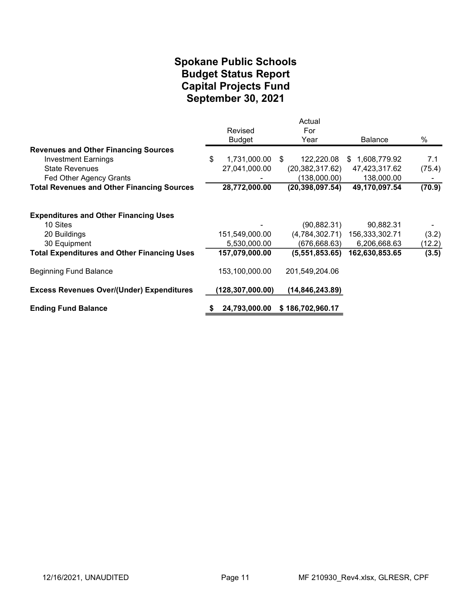#### September 30, 2021 Spokane Public Schools Capital Projects Fund Budget Status Report

|                                                    | Revised<br><b>Budget</b> | Actual<br>For<br>Year | <b>Balance</b> | %      |
|----------------------------------------------------|--------------------------|-----------------------|----------------|--------|
| <b>Revenues and Other Financing Sources</b>        |                          |                       |                |        |
| <b>Investment Earnings</b>                         | \$<br>1,731,000.00       | 122,220.08<br>\$      | \$1,608,779.92 | 7.1    |
| <b>State Revenues</b>                              | 27,041,000.00            | (20, 382, 317.62)     | 47,423,317.62  | (75.4) |
| Fed Other Agency Grants                            |                          | (138,000.00)          | 138,000.00     |        |
| <b>Total Revenues and Other Financing Sources</b>  | 28,772,000.00            | (20, 398, 097.54)     | 49,170,097.54  | (70.9) |
| <b>Expenditures and Other Financing Uses</b>       |                          |                       |                |        |
| 10 Sites                                           |                          | (90, 882.31)          | 90,882.31      |        |
| 20 Buildings                                       | 151,549,000.00           | (4,784,302.71)        | 156,333,302.71 | (3.2)  |
| 30 Equipment                                       | 5,530,000.00             | (676, 668.63)         | 6,206,668.63   | (12.2) |
| <b>Total Expenditures and Other Financing Uses</b> | 157,079,000.00           | (5,551,853.65)        | 162,630,853.65 | (3.5)  |
| <b>Beginning Fund Balance</b>                      | 153,100,000.00           | 201,549,204.06        |                |        |
| <b>Excess Revenues Over/(Under) Expenditures</b>   | (128, 307, 000.00)       | (14, 846, 243.89)     |                |        |
| <b>Ending Fund Balance</b>                         | 24,793,000.00            | \$186,702,960.17      |                |        |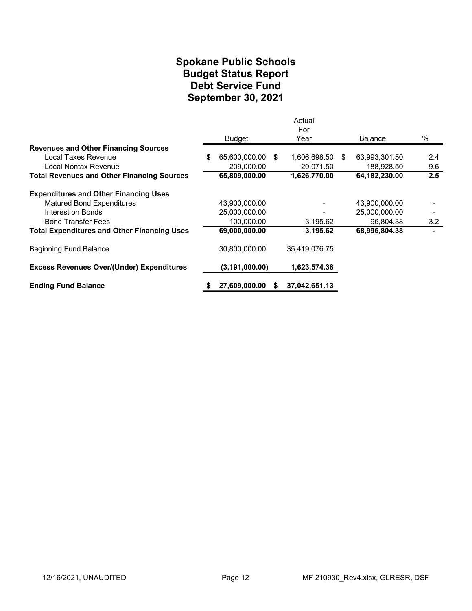#### Spokane Public Schools Debt Service Fund September 30, 2021 Budget Status Report

|                                                    |                     |      | Actual<br>For   |                 |      |
|----------------------------------------------------|---------------------|------|-----------------|-----------------|------|
|                                                    | <b>Budget</b>       |      | Year            | <b>Balance</b>  | $\%$ |
| <b>Revenues and Other Financing Sources</b>        |                     |      |                 |                 |      |
| Local Taxes Revenue                                | \$<br>65,600,000.00 | - \$ | 1,606,698.50 \$ | 63,993,301.50   | 2.4  |
| Local Nontax Revenue                               | 209,000.00          |      | 20,071.50       | 188,928.50      | 9.6  |
| <b>Total Revenues and Other Financing Sources</b>  | 65,809,000.00       |      | 1,626,770.00    | 64, 182, 230.00 | 2.5  |
| <b>Expenditures and Other Financing Uses</b>       |                     |      |                 |                 |      |
| <b>Matured Bond Expenditures</b>                   | 43,900,000.00       |      |                 | 43,900,000.00   |      |
| Interest on Bonds                                  | 25,000,000.00       |      |                 | 25,000,000.00   |      |
| <b>Bond Transfer Fees</b>                          | 100,000.00          |      | 3,195.62        | 96,804.38       | 3.2  |
| <b>Total Expenditures and Other Financing Uses</b> | 69,000,000.00       |      | 3,195.62        | 68,996,804.38   |      |
| <b>Beginning Fund Balance</b>                      | 30.800.000.00       |      | 35,419,076.75   |                 |      |
| <b>Excess Revenues Over/(Under) Expenditures</b>   | (3, 191, 000.00)    |      | 1,623,574.38    |                 |      |
| <b>Ending Fund Balance</b>                         | 27,609,000.00       | S    | 37,042,651.13   |                 |      |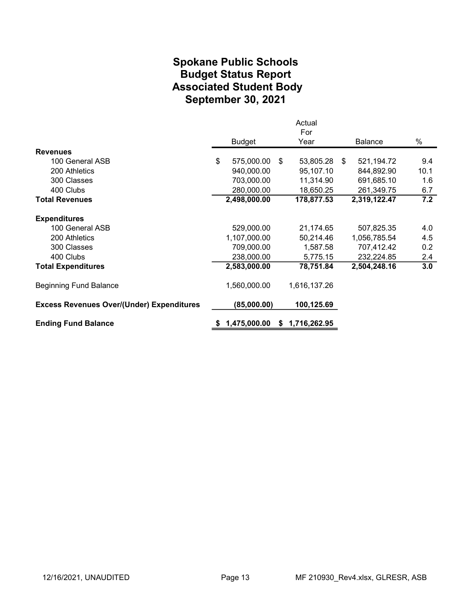#### Spokane Public Schools Associated Student Body September 30, 2021 Budget Status Report

|                                                  |                  |    | Actual       |    |                |      |
|--------------------------------------------------|------------------|----|--------------|----|----------------|------|
|                                                  |                  |    | For          |    |                |      |
|                                                  | <b>Budget</b>    |    | Year         |    | <b>Balance</b> | %    |
| <b>Revenues</b>                                  |                  |    |              |    |                |      |
| 100 General ASB                                  | \$<br>575,000.00 | \$ | 53,805.28    | -S | 521,194.72     | 9.4  |
| 200 Athletics                                    | 940,000.00       |    | 95,107.10    |    | 844,892.90     | 10.1 |
| 300 Classes                                      | 703,000.00       |    | 11,314.90    |    | 691,685.10     | 1.6  |
| 400 Clubs                                        | 280,000.00       |    | 18,650.25    |    | 261,349.75     | 6.7  |
| <b>Total Revenues</b>                            | 2,498,000.00     |    | 178,877.53   |    | 2,319,122.47   | 7.2  |
| <b>Expenditures</b>                              |                  |    |              |    |                |      |
| 100 General ASB                                  | 529,000.00       |    | 21,174.65    |    | 507,825.35     | 4.0  |
| 200 Athletics                                    | 1,107,000.00     |    | 50,214.46    |    | 1,056,785.54   | 4.5  |
| 300 Classes                                      | 709,000.00       |    | 1,587.58     |    | 707,412.42     | 0.2  |
| 400 Clubs                                        | 238,000.00       |    | 5,775.15     |    | 232,224.85     | 2.4  |
| <b>Total Expenditures</b>                        | 2,583,000.00     |    | 78,751.84    |    | 2,504,248.16   | 3.0  |
| <b>Beginning Fund Balance</b>                    | 1,560,000.00     |    | 1,616,137.26 |    |                |      |
| <b>Excess Revenues Over/(Under) Expenditures</b> | (85,000.00)      |    | 100,125.69   |    |                |      |
| <b>Ending Fund Balance</b>                       | 1,475,000.00     | S. | 1,716,262.95 |    |                |      |